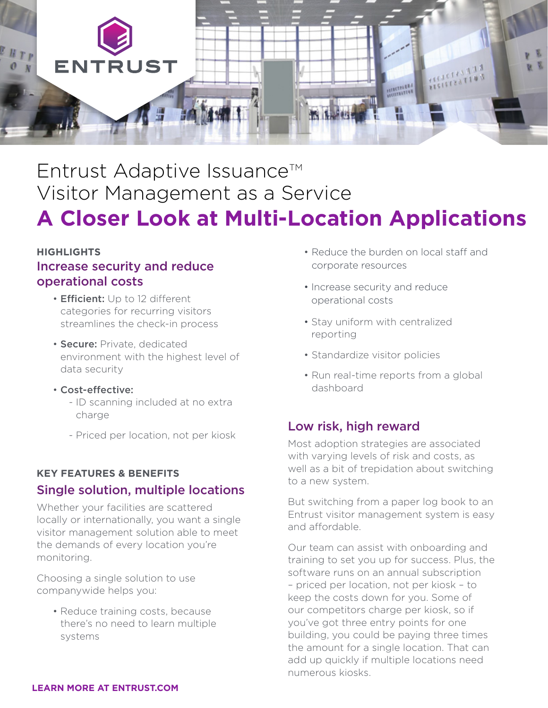

# Entrust Adaptive Issuance<sup>™</sup> Visitor Management as a Service **A Closer Look at Multi-Location Applications**

#### **HIGHLIGHTS**  Increase security and reduce operational costs

- Efficient: Up to 12 different categories for recurring visitors streamlines the check-in process
- Secure: Private, dedicated environment with the highest level of data security
- Cost-effective:
	- ID scanning included at no extra charge
	- Priced per location, not per kiosk

### **KEY FEATURES & BENEFITS**  Single solution, multiple locations

Whether your facilities are scattered locally or internationally, you want a single visitor management solution able to meet the demands of every location you're monitoring.

Choosing a single solution to use companywide helps you:

> • Reduce training costs, because there's no need to learn multiple systems

- Reduce the burden on local staff and corporate resources
- Increase security and reduce operational costs
- Stay uniform with centralized reporting
- Standardize visitor policies
- Run real-time reports from a global dashboard

## Low risk, high reward

Most adoption strategies are associated with varying levels of risk and costs, as well as a bit of trepidation about switching to a new system.

But switching from a paper log book to an Entrust visitor management system is easy and affordable.

Our team can assist with onboarding and training to set you up for success. Plus, the software runs on an annual subscription – priced per location, not per kiosk – to keep the costs down for you. Some of our competitors charge per kiosk, so if you've got three entry points for one building, you could be paying three times the amount for a single location. That can add up quickly if multiple locations need numerous kiosks.